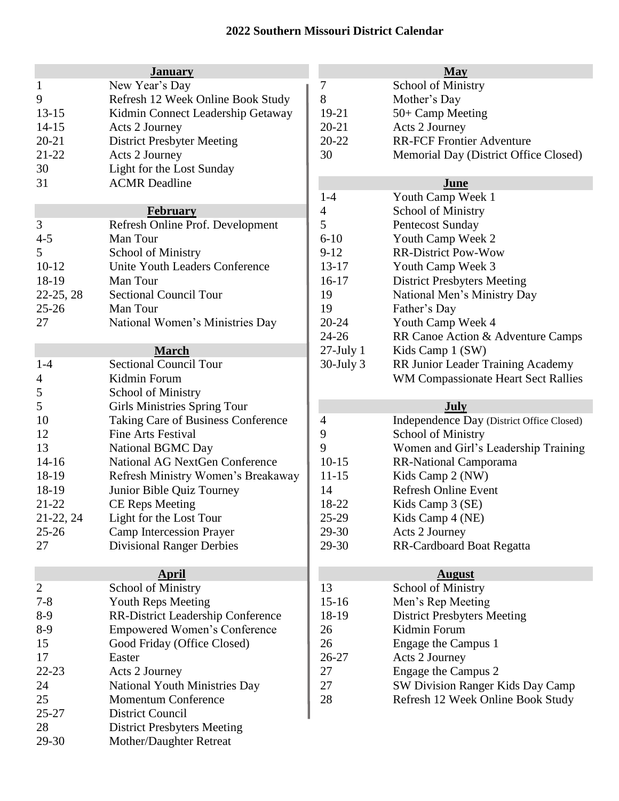## **2022 Southern Missouri District Calendar**

|                | <b>January</b>                        |                | <b>May</b>                                |
|----------------|---------------------------------------|----------------|-------------------------------------------|
| $\mathbf{1}$   | New Year's Day                        | 7              | <b>School of Ministry</b>                 |
| 9              | Refresh 12 Week Online Book Study     | 8              | Mother's Day                              |
| $13-15$        | Kidmin Connect Leadership Getaway     | 19-21          | 50+ Camp Meeting                          |
| $14 - 15$      | Acts 2 Journey                        | $20 - 21$      | Acts 2 Journey                            |
| $20 - 21$      | <b>District Presbyter Meeting</b>     | $20 - 22$      | <b>RR-FCF Frontier Adventure</b>          |
| $21 - 22$      | Acts 2 Journey                        | 30             | Memorial Day (District Office Closed)     |
| 30             | Light for the Lost Sunday             |                |                                           |
| 31             | <b>ACMR</b> Deadline                  |                | June                                      |
|                |                                       | $1-4$          | Youth Camp Week 1                         |
|                | <b>February</b>                       | $\overline{4}$ | <b>School of Ministry</b>                 |
| 3              | Refresh Online Prof. Development      | 5              | <b>Pentecost Sunday</b>                   |
| $4 - 5$        | Man Tour                              | $6 - 10$       | Youth Camp Week 2                         |
| 5              | <b>School of Ministry</b>             | $9-12$         | <b>RR-District Pow-Wow</b>                |
| $10-12$        | Unite Youth Leaders Conference        | $13 - 17$      | Youth Camp Week 3                         |
| 18-19          | Man Tour                              | $16-17$        | <b>District Presbyters Meeting</b>        |
| 22-25, 28      | <b>Sectional Council Tour</b>         | 19             | National Men's Ministry Day               |
| $25 - 26$      | Man Tour                              | 19             | Father's Day                              |
| 27             | National Women's Ministries Day       | $20 - 24$      | Youth Camp Week 4                         |
|                |                                       | $24 - 26$      | RR Canoe Action & Adventure Camps         |
|                | March                                 | $27$ -July 1   | Kids Camp 1 (SW)                          |
| $1 - 4$        | <b>Sectional Council Tour</b>         | $30$ -July $3$ | RR Junior Leader Training Academy         |
| 4              | Kidmin Forum                          |                | WM Compassionate Heart Sect Rallies       |
| 5              | <b>School of Ministry</b>             |                |                                           |
| 5              | <b>Girls Ministries Spring Tour</b>   |                | <b>July</b>                               |
| 10             | Taking Care of Business Conference    | 4              | Independence Day (District Office Closed) |
| 12             | <b>Fine Arts Festival</b>             | 9              | <b>School of Ministry</b>                 |
| 13             | National BGMC Day                     | 9              | Women and Girl's Leadership Training      |
| $14 - 16$      | <b>National AG NextGen Conference</b> | $10-15$        | RR-National Camporama                     |
| 18-19          | Refresh Ministry Women's Breakaway    | $11 - 15$      | Kids Camp 2 (NW)                          |
| 18-19          | Junior Bible Quiz Tourney             | 14             | <b>Refresh Online Event</b>               |
| 21-22          | <b>CE Reps Meeting</b>                | 18-22          | Kids Camp 3 (SE)                          |
| 21-22, 24      | Light for the Lost Tour               | 25-29          | Kids Camp 4 (NE)                          |
| $25 - 26$      | <b>Camp Intercession Prayer</b>       | 29-30          | Acts 2 Journey                            |
| 27             | <b>Divisional Ranger Derbies</b>      | 29-30          | RR-Cardboard Boat Regatta                 |
|                |                                       |                |                                           |
|                | <b>April</b>                          |                | <b>August</b>                             |
| $\overline{c}$ | <b>School of Ministry</b>             | 13             | <b>School of Ministry</b>                 |
| $7 - 8$        | <b>Youth Reps Meeting</b>             | $15 - 16$      | Men's Rep Meeting                         |
| $8-9$          | RR-District Leadership Conference     | 18-19          | <b>District Presbyters Meeting</b>        |
| $8-9$          | <b>Empowered Women's Conference</b>   | 26             | Kidmin Forum                              |
| 15             | Good Friday (Office Closed)           | 26             | Engage the Campus 1                       |
| 17             | Easter                                | 26-27          | Acts 2 Journey                            |
| $22 - 23$      | Acts 2 Journey                        | 27             | Engage the Campus 2                       |
| 24             | National Youth Ministries Day         | 27             | SW Division Ranger Kids Day Camp          |
| 25             | <b>Momentum Conference</b>            | 28             | Refresh 12 Week Online Book Study         |
| $25 - 27$      | District Council                      |                |                                           |
| 28             | <b>District Presbyters Meeting</b>    |                |                                           |
| 29-30          | Mother/Daughter Retreat               |                |                                           |